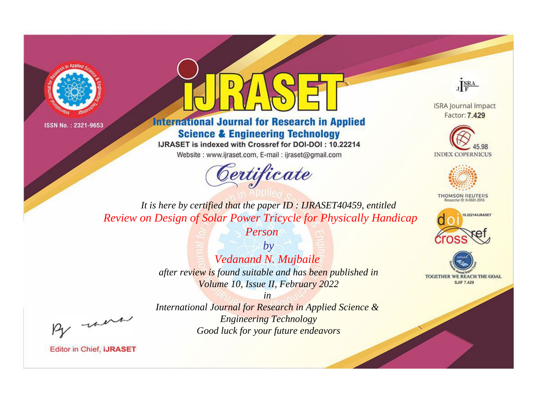



**International Journal for Research in Applied Science & Engineering Technology** 

IJRASET is indexed with Crossref for DOI-DOI: 10.22214

Website: www.ijraset.com, E-mail: ijraset@gmail.com



JERA

**ISRA Journal Impact** Factor: 7.429





**THOMSON REUTERS** 



TOGETHER WE REACH THE GOAL **SJIF 7.429** 

It is here by certified that the paper ID: IJRASET40459, entitled **Review on Design of Solar Power Tricycle for Physically Handicap** 

Person

 $b\nu$ Vedanand N. Mujbaile after review is found suitable and has been published in Volume 10, Issue II, February 2022

were

International Journal for Research in Applied Science & **Engineering Technology** Good luck for your future endeavors

 $in$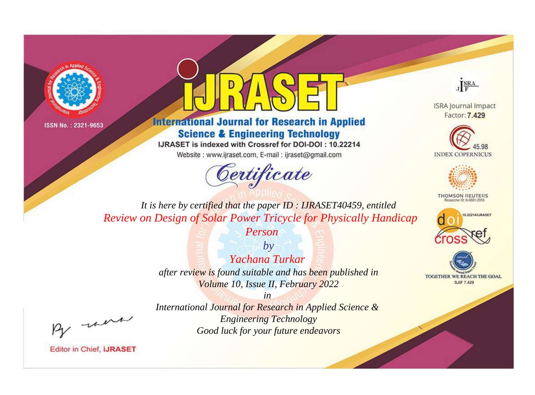



**International Journal for Research in Applied Science & Engineering Technology** 

IJRASET is indexed with Crossref for DOI-DOI: 10.22214

Website: www.ijraset.com, E-mail: ijraset@gmail.com



JERA

**ISRA Journal Impact** Factor: 7.429





**THOMSON REUTERS** 



TOGETHER WE REACH THE GOAL **SJIF 7.429** 

It is here by certified that the paper ID: IJRASET40459, entitled **Review on Design of Solar Power Tricycle for Physically Handicap** 

Person

 $b\nu$ Yachana Turkar after review is found suitable and has been published in Volume 10, Issue II, February 2022

were

International Journal for Research in Applied Science & **Engineering Technology** Good luck for your future endeavors

 $in$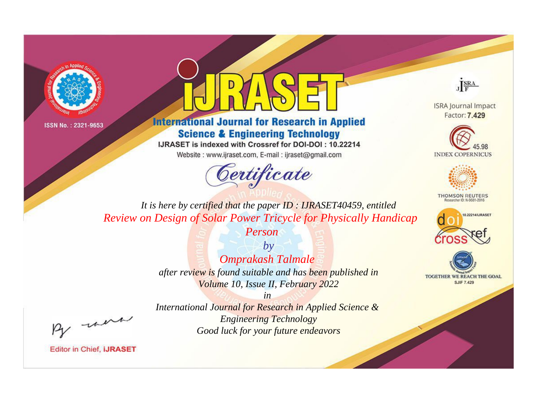



**International Journal for Research in Applied Science & Engineering Technology** 

IJRASET is indexed with Crossref for DOI-DOI: 10.22214

Website: www.ijraset.com, E-mail: ijraset@gmail.com





**ISRA Journal Impact** Factor: 7.429





**THOMSON REUTERS** 



TOGETHER WE REACH THE GOAL **SJIF 7.429** 

*It is here by certified that the paper ID : IJRASET40459, entitled Review on Design of Solar Power Tricycle for Physically Handicap* 

*Person*

*by Omprakash Talmale after review is found suitable and has been published in Volume 10, Issue II, February 2022*

, un

*International Journal for Research in Applied Science & Engineering Technology Good luck for your future endeavors*

*in*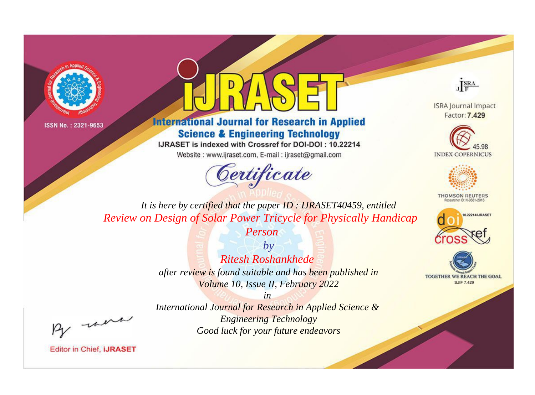



**International Journal for Research in Applied Science & Engineering Technology** 

IJRASET is indexed with Crossref for DOI-DOI: 10.22214

Website: www.ijraset.com, E-mail: ijraset@gmail.com



JERA

**ISRA Journal Impact** Factor: 7.429





**THOMSON REUTERS** 



TOGETHER WE REACH THE GOAL **SJIF 7.429** 

It is here by certified that the paper ID: IJRASET40459, entitled **Review on Design of Solar Power Tricycle for Physically Handicap** 

Person

 $b\nu$ Ritesh Roshankhede after review is found suitable and has been published in Volume 10, Issue II, February 2022

were

International Journal for Research in Applied Science & **Engineering Technology** Good luck for your future endeavors

 $in$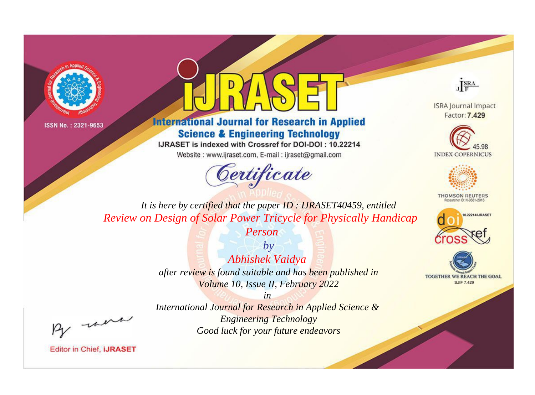



**International Journal for Research in Applied Science & Engineering Technology** 

IJRASET is indexed with Crossref for DOI-DOI: 10.22214

Website: www.ijraset.com, E-mail: ijraset@gmail.com



JERA

**ISRA Journal Impact** Factor: 7.429





**THOMSON REUTERS** 



TOGETHER WE REACH THE GOAL **SJIF 7.429** 

It is here by certified that the paper ID: IJRASET40459, entitled **Review on Design of Solar Power Tricycle for Physically Handicap** 

Person

 $b\nu$ Abhishek Vaidya after review is found suitable and has been published in Volume 10, Issue II, February 2022

were

International Journal for Research in Applied Science & **Engineering Technology** Good luck for your future endeavors

 $in$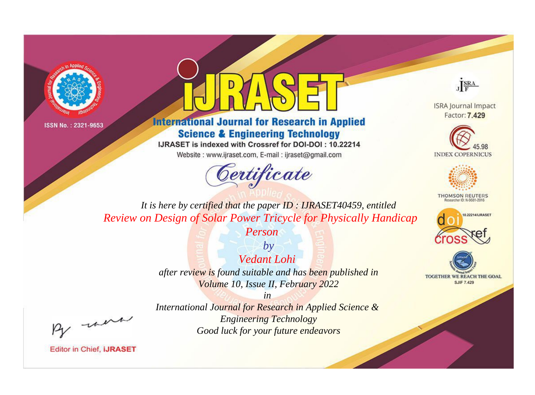



**International Journal for Research in Applied Science & Engineering Technology** 

IJRASET is indexed with Crossref for DOI-DOI: 10.22214

Website: www.ijraset.com, E-mail: ijraset@gmail.com



JERA

**ISRA Journal Impact** Factor: 7.429





**THOMSON REUTERS** 



TOGETHER WE REACH THE GOAL **SJIF 7.429** 

It is here by certified that the paper ID: IJRASET40459, entitled **Review on Design of Solar Power Tricycle for Physically Handicap** 

Person

 $b\nu$ Vedant Lohi after review is found suitable and has been published in Volume 10, Issue II, February 2022

 $in$ International Journal for Research in Applied Science & **Engineering Technology** Good luck for your future endeavors

were